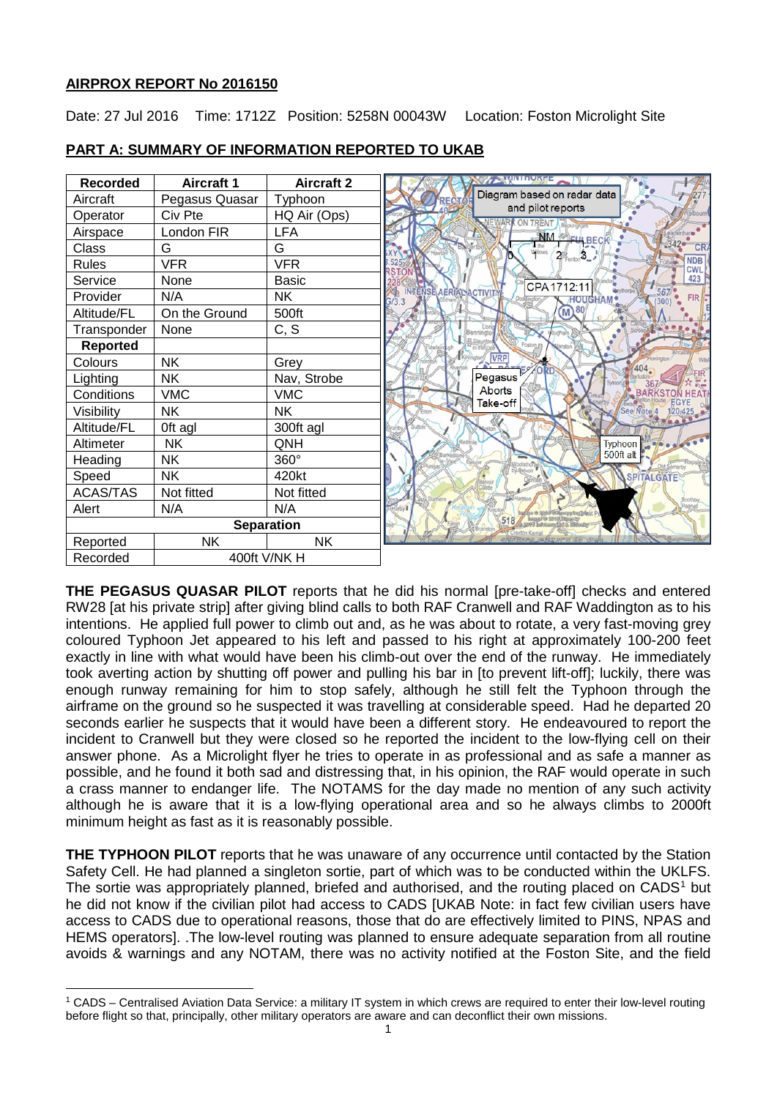## **AIRPROX REPORT No 2016150**

 $\overline{\phantom{a}}$ 

Date: 27 Jul 2016 Time: 1712Z Position: 5258N 00043W Location: Foston Microlight Site



## **PART A: SUMMARY OF INFORMATION REPORTED TO UKAB**

**THE PEGASUS QUASAR PILOT** reports that he did his normal [pre-take-off] checks and entered RW28 [at his private strip] after giving blind calls to both RAF Cranwell and RAF Waddington as to his intentions. He applied full power to climb out and, as he was about to rotate, a very fast-moving grey coloured Typhoon Jet appeared to his left and passed to his right at approximately 100-200 feet exactly in line with what would have been his climb-out over the end of the runway. He immediately took averting action by shutting off power and pulling his bar in [to prevent lift-off]; luckily, there was enough runway remaining for him to stop safely, although he still felt the Typhoon through the airframe on the ground so he suspected it was travelling at considerable speed. Had he departed 20 seconds earlier he suspects that it would have been a different story. He endeavoured to report the incident to Cranwell but they were closed so he reported the incident to the low-flying cell on their answer phone. As a Microlight flyer he tries to operate in as professional and as safe a manner as possible, and he found it both sad and distressing that, in his opinion, the RAF would operate in such a crass manner to endanger life. The NOTAMS for the day made no mention of any such activity although he is aware that it is a low-flying operational area and so he always climbs to 2000ft minimum height as fast as it is reasonably possible.

**THE TYPHOON PILOT** reports that he was unaware of any occurrence until contacted by the Station Safety Cell. He had planned a singleton sortie, part of which was to be conducted within the UKLFS. The sortie was appropriately planned, briefed and authorised, and the routing placed on CADS<sup>[1](#page-0-0)</sup> but he did not know if the civilian pilot had access to CADS [UKAB Note: in fact few civilian users have access to CADS due to operational reasons, those that do are effectively limited to PINS, NPAS and HEMS operators]. .The low-level routing was planned to ensure adequate separation from all routine avoids & warnings and any NOTAM, there was no activity notified at the Foston Site, and the field

<span id="page-0-0"></span><sup>1</sup> CADS – Centralised Aviation Data Service: a military IT system in which crews are required to enter their low-level routing before flight so that, principally, other military operators are aware and can deconflict their own missions.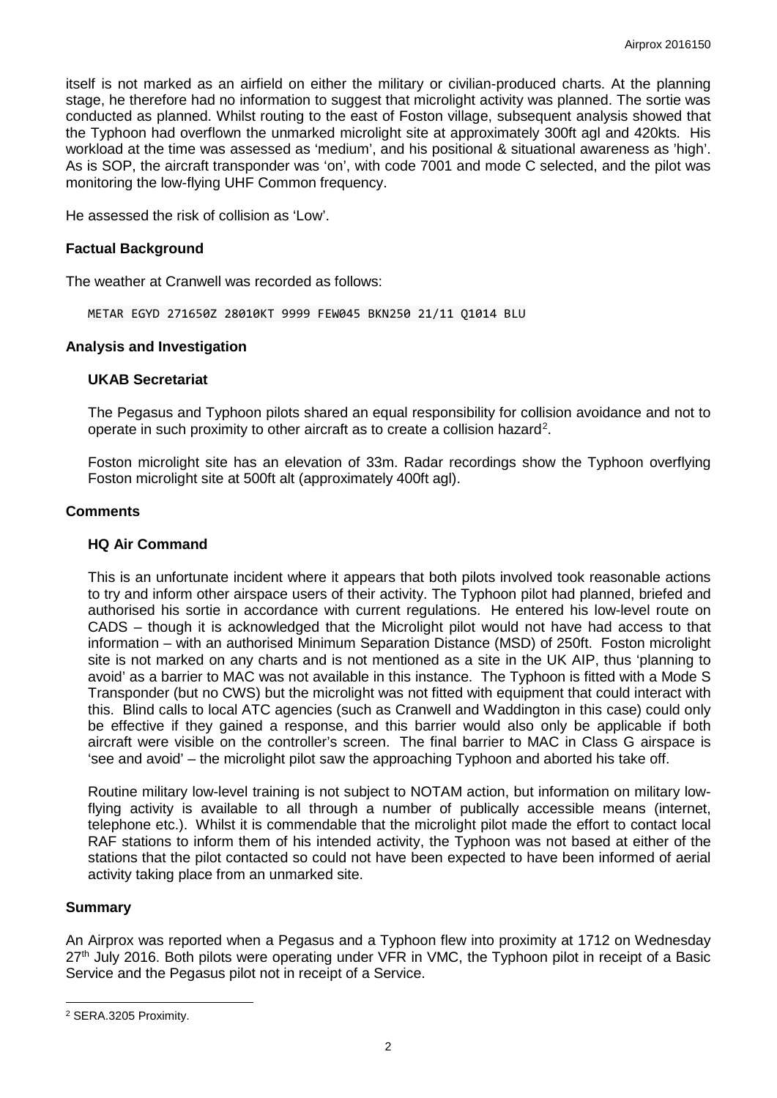itself is not marked as an airfield on either the military or civilian-produced charts. At the planning stage, he therefore had no information to suggest that microlight activity was planned. The sortie was conducted as planned. Whilst routing to the east of Foston village, subsequent analysis showed that the Typhoon had overflown the unmarked microlight site at approximately 300ft agl and 420kts. His workload at the time was assessed as 'medium', and his positional & situational awareness as 'high'. As is SOP, the aircraft transponder was 'on', with code 7001 and mode C selected, and the pilot was monitoring the low-flying UHF Common frequency.

He assessed the risk of collision as 'Low'.

## **Factual Background**

The weather at Cranwell was recorded as follows:

METAR EGYD 271650Z 28010KT 9999 FEW045 BKN250 21/11 Q1014 BLU

#### **Analysis and Investigation**

# **UKAB Secretariat**

The Pegasus and Typhoon pilots shared an equal responsibility for collision avoidance and not to operate in such proximity to other aircraft as to create a collision hazard<sup>[2](#page-1-0)</sup>.

Foston microlight site has an elevation of 33m. Radar recordings show the Typhoon overflying Foston microlight site at 500ft alt (approximately 400ft agl).

#### **Comments**

## **HQ Air Command**

This is an unfortunate incident where it appears that both pilots involved took reasonable actions to try and inform other airspace users of their activity. The Typhoon pilot had planned, briefed and authorised his sortie in accordance with current regulations. He entered his low-level route on CADS – though it is acknowledged that the Microlight pilot would not have had access to that information – with an authorised Minimum Separation Distance (MSD) of 250ft. Foston microlight site is not marked on any charts and is not mentioned as a site in the UK AIP, thus 'planning to avoid' as a barrier to MAC was not available in this instance. The Typhoon is fitted with a Mode S Transponder (but no CWS) but the microlight was not fitted with equipment that could interact with this. Blind calls to local ATC agencies (such as Cranwell and Waddington in this case) could only be effective if they gained a response, and this barrier would also only be applicable if both aircraft were visible on the controller's screen. The final barrier to MAC in Class G airspace is 'see and avoid' – the microlight pilot saw the approaching Typhoon and aborted his take off.

Routine military low-level training is not subject to NOTAM action, but information on military lowflying activity is available to all through a number of publically accessible means (internet, telephone etc.). Whilst it is commendable that the microlight pilot made the effort to contact local RAF stations to inform them of his intended activity, the Typhoon was not based at either of the stations that the pilot contacted so could not have been expected to have been informed of aerial activity taking place from an unmarked site.

#### **Summary**

 $\overline{\phantom{a}}$ 

An Airprox was reported when a Pegasus and a Typhoon flew into proximity at 1712 on Wednesday  $27<sup>th</sup>$  July 2016. Both pilots were operating under VFR in VMC, the Typhoon pilot in receipt of a Basic Service and the Pegasus pilot not in receipt of a Service.

<span id="page-1-0"></span><sup>2</sup> SERA.3205 Proximity.